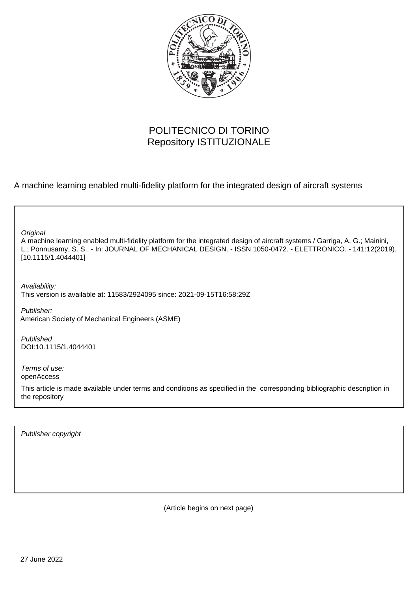

# POLITECNICO DI TORINO Repository ISTITUZIONALE

A machine learning enabled multi-fidelity platform for the integrated design of aircraft systems

A machine learning enabled multi-fidelity platform for the integrated design of aircraft systems / Garriga, A. G.; Mainini, L.; Ponnusamy, S. S.. - In: JOURNAL OF MECHANICAL DESIGN. - ISSN 1050-0472. - ELETTRONICO. - 141:12(2019). [10.1115/1.4044401] **Original** Publisher: Published DOI:10.1115/1.4044401 Terms of use: openAccess This article is made available under terms and conditions as specified in the corresponding bibliographic description in the repository Availability: This version is available at: 11583/2924095 since: 2021-09-15T16:58:29Z American Society of Mechanical Engineers (ASME)

Publisher copyright

(Article begins on next page)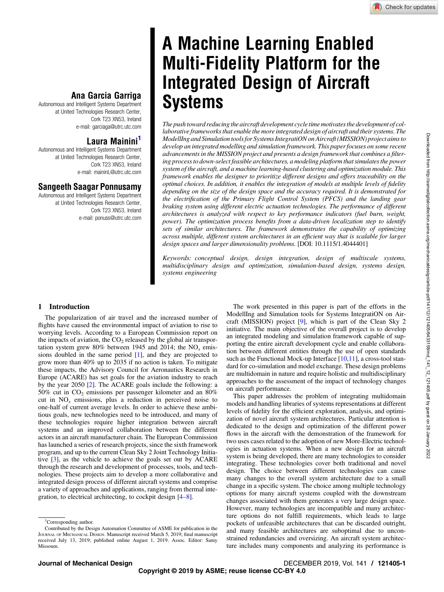# A Machine Learning Enabled Multi-Fidelity Platform for the Integrated Design of Aircraft **Systems**

The push toward reducing the aircraft development cycle time motivates the development of collaborative frameworks that enable the more integrated design of aircraft and their systems. The ModellIng and Simulation tools for Systems IntegratiON on Aircraft (MISSION) project aims to develop an integrated modelling and simulation framework. This paper focuses on some recent advancements in the MISSION project and presents a design framework that combines a filtering process to down-select feasible architectures, a modeling platform that simulates the power system of the aircraft, and a machine learning-based clustering and optimization module. This framework enables the designer to prioritize different designs and offers traceability on the optimal choices. In addition, it enables the integration of models at multiple levels of fidelity depending on the size of the design space and the accuracy required. It is demonstrated for the electrification of the Primary Flight Control System (PFCS) and the landing gear braking system using different electric actuation technologies. The performance of different architectures is analyzed with respect to key performance indicators (fuel burn, weight, power). The optimization process benefits from a data-driven localization step to identify sets of similar architectures. The framework demonstrates the capability of optimizing across multiple, different system architectures in an efficient way that is scalable for larger design spaces and larger dimensionality problems. [DOI: 10.1115/1.4044401]

Keywords: conceptual design, design integration, design of multiscale systems, multidisciplinary design and optimization, simulation-based design, systems design, systems engineering

## Ana Garcia Garriga

Autonomous and Intelligent Systems Department at United Technologies Research Center, Cork T23 XN53, Ireland e-mail: [garciaga@utrc.utc.com](mailto:garciaga@utrc.utc.com)

## Laura Mainini<sup>1</sup>

Autonomous and Intelligent Systems Department at United Technologies Research Center, Cork T23 XN53, Ireland e-mail: [maininL@utrc.utc.com](mailto:maininL@utrc.utc.com)

## Sangeeth Saagar Ponnusamy

Autonomous and Intelligent Systems Department at United Technologies Research Center, Cork T23 XN53, Ireland e-mail: [ponuss@utrc.utc.com](mailto:ponuss@utrc.utc.com)

### 1 Introduction

The popularization of air travel and the increased number of flights have caused the environmental impact of aviation to rise to worrying levels. According to a European Commission report on the impacts of aviation, the  $CO<sub>2</sub>$  released by the global air transportation system grew 80% between 1945 and 2014; the  $NO<sub>x</sub>$  emissions doubled in the same period [1], and they are projected to grow more than 40% up to 2035 if no action is taken. To mitigate these impacts, the Advisory Council for Aeronautics Research in Europe (ACARE) has set goals for the aviation industry to reach by the year 2050 [2]. The ACARE goals include the following: a 50% cut in  $CO<sub>2</sub>$  emissions per passenger kilometer and an 80% cut in  $NO_x$  emissions, plus a reduction in perceived noise to one-half of current average levels. In order to achieve these ambitious goals, new technologies need to be introduced, and many of these technologies require higher integration between aircraft systems and an improved collaboration between the different actors in an aircraft manufacturer chain. The European Commission has launched a series of research projects, since the sixth framework program, and up to the current Clean Sky 2 Joint Technology Initiative [3], as the vehicle to achieve the goals set out by ACARE through the research and development of processes, tools, and technologies. These projects aim to develop a more collaborative and integrated design process of different aircraft systems and comprise a variety of approaches and applications, ranging from thermal integration, to electrical architecting, to cockpit design [4–8].

The work presented in this paper is part of the efforts in the ModellIng and Simulation tools for Systems IntegratiON on Aircraft (MISSION) project [9], which is part of the Clean Sky 2 initiative. The main objective of the overall project is to develop an integrated modeling and simulation framework capable of supporting the entire aircraft development cycle and enable collaboration between different entities through the use of open standards such as the Functional Mock-up Interface [10,11], a cross-tool standard for co-simulation and model exchange. These design problems are multidomain in nature and require holistic and multidisciplinary approaches to the assessment of the impact of technology changes on aircraft performance.

This paper addresses the problem of integrating multidomain models and handling libraries of systems representations at different levels of fidelity for the efficient exploration, analysis, and optimization of novel aircraft system architectures. Particular attention is dedicated to the design and optimization of the different power flows in the aircraft with the demonstration of the framework for two uses cases related to the adoption of new More-Electric technologies in actuation systems. When a new design for an aircraft system is being developed, there are many technologies to consider integrating. These technologies cover both traditional and novel design. The choice between different technologies can cause many changes to the overall system architecture due to a small change in a specific system. The choice among multiple technology options for many aircraft systems coupled with the downstream changes associated with them generates a very large design space. However, many technologies are incompatible and many architecture options do not fulfill requirements, which leads to large pockets of unfeasible architectures that can be discarded outright, and many feasible architectures are suboptimal due to unconstrained redundancies and oversizing. An aircraft system architecture includes many components and analyzing its performance is

<sup>&</sup>lt;sup>1</sup>Corresponding author.

Contributed by the Design Automation Committee of ASME for publication in the JOURNAL OF MECHANICAL DESIGN. Manuscript received March 5, 2019; final manuscript received July 13, 2019; published online August 1, 2019. Assoc. Editor: Samy Missoum.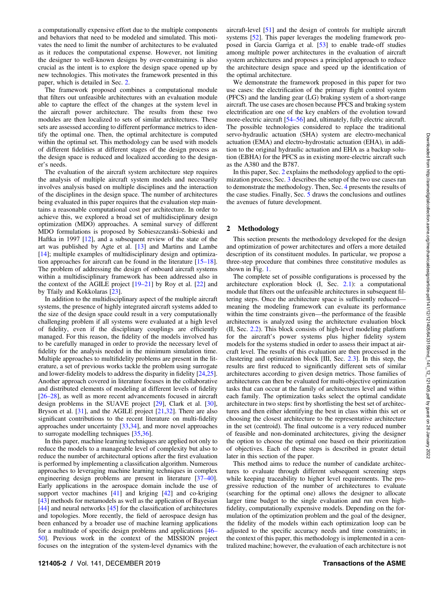a computationally expensive effort due to the multiple components and behaviors that need to be modeled and simulated. This motivates the need to limit the number of architectures to be evaluated as it reduces the computational expense. However, not limiting the designer to well-known designs by over-constraining is also crucial as the intent is to explore the design space opened up by new technologies. This motivates the framework presented in this paper, which is detailed in Sec. 2.

The framework proposed combines a computational module that filters out unfeasible architectures with an evaluation module able to capture the effect of the changes at the system level in the aircraft power architecture. The results from these two modules are then localized to sets of similar architectures. These sets are assessed according to different performance metrics to identify the optimal one. Then, the optimal architecture is computed within the optimal set. This methodology can be used with models of different fidelities at different stages of the design process as the design space is reduced and localized according to the designer's needs.

The evaluation of the aircraft system architecture step requires the analysis of multiple aircraft system models and necessarily involves analysis based on multiple disciplines and the interaction of the disciplines in the design space. The number of architectures being evaluated in this paper requires that the evaluation step maintains a reasonable computational cost per architecture. In order to achieve this, we explored a broad set of multidisciplinary design optimization (MDO) approaches. A seminal survey of different MDO formulations is proposed by Sobieszczanski–Sobieski and Haftka in 1997 [12], and a subsequent review of the state of the art was published by Agte et al. [13] and Martins and Lambe [14]; multiple examples of multidisciplinary design and optimization approaches for aircraft can be found in the literature [15–18]. The problem of addressing the design of onboard aircraft systems within a multidisciplinary framework has been addressed also in the context of the AGILE project [19–21] by Roy et al. [22] and by Tfaily and Kokkolaras [23].

In addition to the multidisciplinary aspect of the multiple aircraft systems, the presence of highly integrated aircraft systems added to the size of the design space could result in a very computationally challenging problem if all systems were evaluated at a high level of fidelity, even if the disciplinary couplings are efficiently managed. For this reason, the fidelity of the models involved has to be carefully managed in order to provide the necessary level of fidelity for the analysis needed in the minimum simulation time. Multiple approaches to multifidelity problems are present in the literature, a set of previous works tackle the problem using surrogate and lower-fidelity models to address the disparity in fidelity [24,25]. Another approach covered in literature focuses in the collaborative and distributed elements of modeling at different levels of fidelity [26–28], as well as more recent advancements focused in aircraft design problems in the SUAVE project [29], Clark et al. [30], Bryson et al. [31], and the AGILE project [21,32]. There are also significant contributions to the recent literature on multi-fidelity approaches under uncertainty [33,34], and more novel approaches to surrogate modelling techniques [35,36].

In this paper, machine learning techniques are applied not only to reduce the models to a manageable level of complexity but also to reduce the number of architectural options after the first evaluation is performed by implementing a classification algorithm. Numerous approaches to leveraging machine learning techniques in complex engineering design problems are present in literature [37–40]. Early applications in the aerospace domain include the use of support vector machines  $[41]$  and kriging  $[42]$  and co-kriging [43] methods for metamodels as well as the application of Bayesian [44] and neural networks [45] for the classification of architectures and topologies. More recently, the field of aerospace design has been enhanced by a broader use of machine learning applications for a multitude of specific design problems and applications [46– 50]. Previous work in the context of the MISSION project focuses on the integration of the system-level dynamics with the aircraft-level [51] and the design of controls for multiple aircraft systems [52]. This paper leverages the modeling framework proposed in Garcia Garriga et al. [53] to enable trade-off studies among multiple power architectures in the evaluation of aircraft system architectures and proposes a principled approach to reduce the architecture design space and speed up the identification of the optimal architecture.

We demonstrate the framework proposed in this paper for two use cases: the electrification of the primary flight control system (PFCS) and the landing gear (LG) braking system of a short-range aircraft. The use cases are chosen because PFCS and braking system electrification are one of the key enablers of the evolution toward more-electric aircraft [54–56] and, ultimately, fully electric aircraft. The possible technologies considered to replace the traditional servo-hydraulic actuation (SHA) system are electro-mechanical actuation (EMA) and electro-hydrostatic actuation (EHA), in addition to the original hydraulic actuation and EHA as a backup solution (EBHA) for the PFCS as in existing more-electric aircraft such as the A380 and the B787.

In this paper, Sec. 2 explains the methodology applied to the optimization process; Sec. 3 describes the setup of the two use cases ran to demonstrate the methodology. Then, Sec. 4 presents the results of the case studies. Finally, Sec. 5 draws the conclusions and outlines the avenues of future development.

#### 2 Methodology

This section presents the methodology developed for the design and optimization of power architectures and offers a more detailed description of its constituent modules. In particular, we propose a three-step procedure that combines three constitutive modules as shown in Fig. 1.

The complete set of possible configurations is processed by the architecture exploration block (I, Sec. 2.1): a computational module that filters out the unfeasible architectures in subsequent filtering steps. Once the architecture space is sufficiently reduced meaning the modeling framework can evaluate its performance within the time constraints given—the performance of the feasible architectures is analyzed using the architecture evaluation block (II, Sec. 2.2). This block consists of high-level modeling platform for the aircraft's power systems plus higher fidelity system models for the systems studied in order to assess their impact at aircraft level. The results of this evaluation are then processed in the clustering and optimization block [III, Sec. 2.3]. In this step, the results are first reduced to significantly different sets of similar architectures according to given design metrics. Those families of architectures can then be evaluated for multi-objective optimization tasks that can occur at the family of architectures level and within each family. The optimization tasks select the optimal candidate architecture in two steps: first by shortlisting the best set of architectures and then either identifying the best in class within this set or choosing the closest architecture to the representative architecture in the set (centroid). The final outcome is a very reduced number of feasible and non-dominated architectures, giving the designer the option to choose the optimal one based on their prioritization of objectives. Each of these steps is described in greater detail later in this section of the paper.

This method aims to reduce the number of candidate architectures to evaluate through different subsequent screening steps while keeping traceability to higher level requirements. The progressive reduction of the number of architectures to evaluate (searching for the optimal one) allows the designer to allocate larger time budget to the single evaluation and run even highfidelity, computationally expensive models. Depending on the formulation of the optimization problem and the goal of the designer, the fidelity of the models within each optimization loop can be adjusted to the specific accuracy needs and time constraints; in the context of this paper, this methodology is implemented in a centralized machine; however, the evaluation of each architecture is not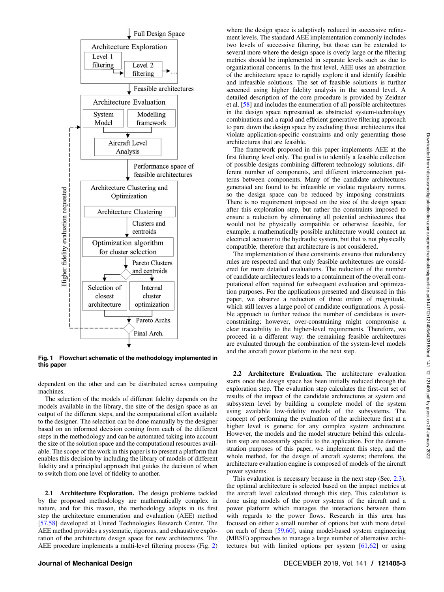

Fig. 1 Flowchart schematic of the methodology implemented in this paper

dependent on the other and can be distributed across computing machines.

The selection of the models of different fidelity depends on the models available in the library, the size of the design space as an output of the different steps, and the computational effort available to the designer. The selection can be done manually by the designer based on an informed decision coming from each of the different steps in the methodology and can be automated taking into account the size of the solution space and the computational resources available. The scope of the work in this paper is to present a platform that enables this decision by including the library of models of different fidelity and a principled approach that guides the decision of when to switch from one level of fidelity to another.

2.1 Architecture Exploration. The design problems tackled by the proposed methodology are mathematically complex in nature, and for this reason, the methodology adopts in its first step the architecture enumeration and evaluation (AEE) method [57,58] developed at United Technologies Research Center. The AEE method provides a systematic, rigorous, and exhaustive exploration of the architecture design space for new architectures. The AEE procedure implements a multi-level filtering process (Fig. 2) where the design space is adaptively reduced in successive refinement levels. The standard AEE implementation commonly includes two levels of successive filtering, but those can be extended to several more where the design space is overly large or the filtering metrics should be implemented in separate levels such as due to organizational concerns. In the first level, AEE uses an abstraction of the architecture space to rapidly explore it and identify feasible and infeasible solutions. The set of feasible solutions is further screened using higher fidelity analysis in the second level. A detailed description of the core procedure is provided by Zeidner et al. [58] and includes the enumeration of all possible architectures in the design space represented as abstracted system-technology combinations and a rapid and efficient generative filtering approach to pare down the design space by excluding those architectures that violate application-specific constraints and only generating those architectures that are feasible.

The framework proposed in this paper implements AEE at the first filtering level only. The goal is to identify a feasible collection of possible designs combining different technology solutions, different number of components, and different interconnection patterns between components. Many of the candidate architectures generated are found to be infeasible or violate regulatory norms, so the design space can be reduced by imposing constraints. There is no requirement imposed on the size of the design space after this exploration step, but rather the constraints imposed to ensure a reduction by eliminating all potential architectures that would not be physically compatible or otherwise feasible, for example, a mathematically possible architecture would connect an electrical actuator to the hydraulic system, but that is not physically compatible, therefore that architecture is not considered.

The implementation of these constraints ensures that redundancy rules are respected and that only feasible architectures are considered for more detailed evaluations. The reduction of the number of candidate architectures leads to a containment of the overall computational effort required for subsequent evaluation and optimization purposes. For the applications presented and discussed in this paper, we observe a reduction of three orders of magnitude, which still leaves a large pool of candidate configurations. A possible approach to further reduce the number of candidates is overconstraining; however, over-constraining might compromise a clear traceability to the higher-level requirements. Therefore, we proceed in a different way: the remaining feasible architectures are evaluated through the combination of the system-level models and the aircraft power platform in the next step.

2.2 Architecture Evaluation. The architecture evaluation starts once the design space has been initially reduced through the exploration step. The evaluation step calculates the first-cut set of results of the impact of the candidate architectures at system and subsystem level by building a complete model of the system using available low-fidelity models of the subsystems. The concept of performing the evaluation of the architecture first at a higher level is generic for any complex system architecture. However, the models and the model structure behind this calculation step are necessarily specific to the application. For the demonstration purposes of this paper, we implement this step, and the whole method, for the design of aircraft systems; therefore, the architecture evaluation engine is composed of models of the aircraft power systems.

This evaluation is necessary because in the next step (Sec. 2.3), the optimal architecture is selected based on the impact metrics at the aircraft level calculated through this step. This calculation is done using models of the power systems of the aircraft and a power platform which manages the interactions between them with regards to the power flows. Research in this area has focused on either a small number of options but with more detail on each of them [59,60], using model-based system engineering (MBSE) approaches to manage a large number of alternative architectures but with limited options per system [61,62] or using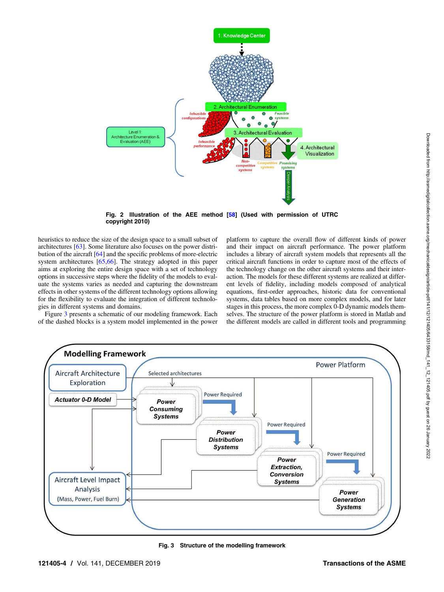

Fig. 2 Illustration of the AEE method [58] (Used with permission of UTRC copyright 2010)

heuristics to reduce the size of the design space to a small subset of architectures [63]. Some literature also focuses on the power distribution of the aircraft [64] and the specific problems of more-electric system architectures [65,66]. The strategy adopted in this paper aims at exploring the entire design space with a set of technology options in successive steps where the fidelity of the models to evaluate the systems varies as needed and capturing the downstream effects in other systems of the different technology options allowing for the flexibility to evaluate the integration of different technologies in different systems and domains.

Figure 3 presents a schematic of our modeling framework. Each of the dashed blocks is a system model implemented in the power platform to capture the overall flow of different kinds of power and their impact on aircraft performance. The power platform includes a library of aircraft system models that represents all the critical aircraft functions in order to capture most of the effects of the technology change on the other aircraft systems and their interaction. The models for these different systems are realized at different levels of fidelity, including models composed of analytical equations, first-order approaches, historic data for conventional systems, data tables based on more complex models, and for later stages in this process, the more complex 0-D dynamic models themselves. The structure of the power platform is stored in Matlab and the different models are called in different tools and programming



Fig. 3 Structure of the modelling framework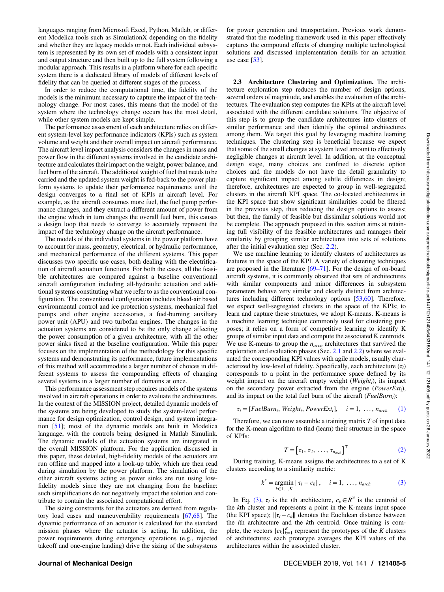languages ranging from Microsoft Excel, Python, Matlab, or different Modelica tools such as SimulationX depending on the fidelity and whether they are legacy models or not. Each individual subsystem is represented by its own set of models with a consistent input and output structure and then built up to the full system following a modular approach. This results in a platform where for each specific system there is a dedicated library of models of different levels of fidelity that can be queried at different stages of the process.

In order to reduce the computational time, the fidelity of the models is the minimum necessary to capture the impact of the technology change. For most cases, this means that the model of the system where the technology change occurs has the most detail, while other system models are kept simple.

The performance assessment of each architecture relies on different system-level key performance indicators (KPIs) such as system volume and weight and their overall impact on aircraft performance. The aircraft level impact analysis considers the changes in mass and power flow in the different systems involved in the candidate architecture and calculates their impact on the weight, power balance, and fuel burn of the aircraft. The additional weight of fuel that needs to be carried and the updated system weight is fed-back to the power platform systems to update their performance requirements until the design converges to a final set of KPIs at aircraft level. For example, as the aircraft consumes more fuel, the fuel pump performance changes, and they extract a different amount of power from the engine which in turn changes the overall fuel burn, this causes a design loop that needs to converge to accurately represent the impact of the technology change on the aircraft performance.

The models of the individual systems in the power platform have to account for mass, geometry, electrical, or hydraulic performance, and mechanical performance of the different systems. This paper discusses two specific use cases, both dealing with the electrification of aircraft actuation functions. For both the cases, all the feasible architectures are compared against a baseline conventional aircraft configuration including all-hydraulic actuation and additional systems constituting what we refer to as the conventional configuration. The conventional configuration includes bleed-air based environmental control and ice protection systems, mechanical fuel pumps and other engine accessories, a fuel-burning auxiliary power unit (APU) and two turbofan engines. The changes in the actuation systems are considered to be the only change affecting the power consumption of a given architecture, with all the other power sinks fixed at the baseline configuration. While this paper focuses on the implementation of the methodology for this specific systems and demonstrating its performance, future implementations of this method will accommodate a larger number of choices in different systems to assess the compounding effects of changing several systems in a larger number of domains at once.

This performance assessment step requires models of the systems involved in aircraft operations in order to evaluate the architectures. In the context of the MISSION project, detailed dynamic models of the systems are being developed to study the system-level performance for design optimization, control design, and system integration [51]; most of the dynamic models are built in Modelica language, with the controls being designed in Matlab Simulink. The dynamic models of the actuation systems are integrated in the overall MISSION platform. For the application discussed in this paper, these detailed, high-fidelity models of the actuators are run offline and mapped into a look-up table, which are then read during simulation by the power platform. The simulation of the other aircraft systems acting as power sinks are run using lowfidelity models since they are not changing from the baseline: such simplifications do not negatively impact the solution and contribute to contain the associated computational effort.

The sizing constraints for the actuators are derived from regulatory load cases and maneuverability requirements [67,68]. The dynamic performance of an actuator is calculated for the standard mission phases where the actuator is acting. In addition, the power requirements during emergency operations (e.g., rejected takeoff and one-engine landing) drive the sizing of the subsystems for power generation and transportation. Previous work demonstrated that the modeling framework used in this paper effectively captures the compound effects of changing multiple technological solutions and discussed implementation details for an actuation use case  $[53]$ .

2.3 Architecture Clustering and Optimization. The architecture exploration step reduces the number of design options, several orders of magnitude, and enables the evaluation of the architectures. The evaluation step computes the KPIs at the aircraft level associated with the different candidate solutions. The objective of this step is to group the candidate architectures into clusters of similar performance and then identify the optimal architectures among them. We target this goal by leveraging machine learning techniques. The clustering step is beneficial because we expect that some of the small changes at system level amount to effectively negligible changes at aircraft level. In addition, at the conceptual design stage, many choices are confined to discrete option choices and the models do not have the detail granularity to capture significant impact among subtle differences in design; therefore, architectures are expected to group in well-segregated clusters in the aircraft KPI space. The co-located architectures in the KPI space that show significant similarities could be filtered in the previous step, thus reducing the design options to assess; but then, the family of feasible but dissimilar solutions would not be complete. The approach proposed in this section aims at retaining full visibility of the feasible architectures and manages their similarity by grouping similar architectures into sets of solutions after the initial evaluation step (Sec. 2.2).

We use machine learning to identify clusters of architectures as features in the space of the KPI. A variety of clustering techniques are proposed in the literature  $[69-71]$ . For the design of on-board aircraft systems, it is commonly observed that sets of architectures with similar components and minor differences in subsystem parameters behave very similar and clearly distinct from architectures including different technology options [53,60]. Therefore, we expect well-segregated clusters in the space of the KPIs; to learn and capture these structures, we adopt K-means. K-means is a machine learning technique commonly used for clustering purposes; it relies on a form of competitive learning to identify K groups of similar input data and compute the associated K centroids. We use K-means to group the  $n_{arch}$  architectures that survived the exploration and evaluation phases (Sec. 2.1 and 2.2) where we evaluated the corresponding KPI values with agile models, usually characterized by low-level of fidelity. Specifically, each architecture  $(\tau_i)$ corresponds to a point in the performance space defined by its weight impact on the aircraft empty weight ( $Weight_i$ ), its impact on the secondary power extracted from the engine ( $PowerExt_i$ ), and its impact on the total fuel burn of the aircraft  $(FuelBurn_i)$ :

$$
\tau_i = [FuelBurn_i, Weight_i, PowerExt_i], \quad i = 1, \ldots, n_{arch} \quad (1)
$$

Therefore, we can now assemble a training matrix  $T$  of input data for the K-mean algorithm to find (learn) their structure in the space of KPIs:

$$
T = \begin{bmatrix} \tau_1, \tau_2, \dots, \tau_{n_{arch}} \end{bmatrix}^\top \tag{2}
$$

During training, K-means assigns the architectures to a set of K clusters according to a similarity metric:

$$
k^* = \underset{k \in 1, ..., K}{\text{argmin}} \| \tau_i - c_k \|, \quad i = 1, ..., n_{arch}
$$
 (3)

In Eq. (3),  $\tau_i$  is the *i*th architecture,  $c_k \in \mathbb{R}^3$  is the centroid of the kth cluster and represents a point in the K-means input space (the KPI space);  $||\tau_i - c_k||$  denotes the Euclidean distance between the ith architecture and the kth centroid. Once training is complete, the vectors  ${c_k}_{k=1}^K$  represent the prototypes of the K clusters of architectures; each prototype averages the KPI values of the architectures within the associated cluster.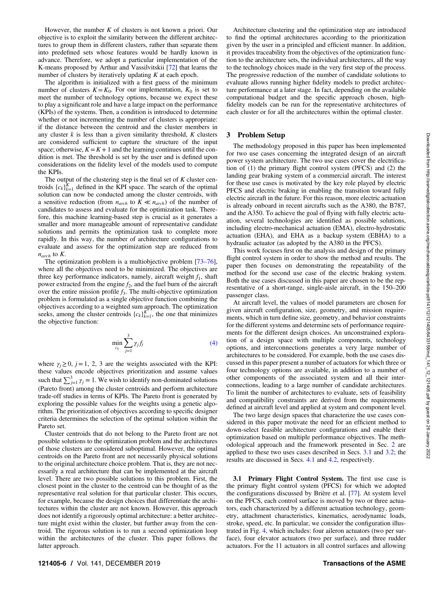However, the number  $K$  of clusters is not known a priori. Our objective is to exploit the similarity between the different architectures to group them in different clusters, rather than separate them into predefined sets whose features would be hardly known in advance. Therefore, we adopt a particular implementation of the K-means proposed by Arthur and Vassilvitskii [72] that learns the number of clusters by iteratively updating  $K$  at each epoch.

The algorithm is initialized with a first guess of the minimum number of clusters  $K = K_0$ . For our implementation,  $K_0$  is set to meet the number of technology options, because we expect these to play a significant role and have a large impact on the performance (KPIs) of the systems. Then, a condition is introduced to determine whether or not incrementing the number of clusters is appropriate: if the distance between the centroid and the cluster members in any cluster  $k$  is less than a given similarity threshold,  $K$  clusters are considered sufficient to capture the structure of the input space; otherwise,  $K = K + 1$  and the learning continues until the condition is met. The threshold is set by the user and is defined upon considerations on the fidelity level of the models used to compute the KPIs.

The output of the clustering step is the final set of  $K$  cluster centroids  ${c_k}_{k=1}^K$  defined in the KPI space. The search of the optimal solution can now be conducted among the cluster centroids, with a sensitive reduction (from  $n_{arch}$  to  $K \ll n_{arch}$ ) of the number of candidates to assess and evaluate for the optimization task. Therefore, this machine learning-based step is crucial as it generates a smaller and more manageable amount of representative candidate solutions and permits the optimization task to complete more rapidly. In this way, the number of architecture configurations to evaluate and assess for the optimization step are reduced from  $n_{arch}$  to  $K$ .

The optimization problem is a multiobjective problem [73–76], where all the objectives need to be minimized. The objectives are three key performance indicators, namely, aircraft weight  $f_1$ , shaft power extracted from the engine  $f_2$ , and the fuel burn of the aircraft over the entire mission profile  $f_3$ . The multi-objective optimization problem is formulated as a single objective function combining the objectives according to a weighted sum approach. The optimization seeks, among the cluster centroids  ${c_k}_{k=1}^K$ , the one that minimizes the objective function:

$$
\min_{c_k} \sum_{j=1}^3 \gamma_j f_j \tag{4}
$$

where  $\gamma_i \geq 0$ ,  $j=1, 2, 3$  are the weights associated with the KPI: these values encode objectives prioritization and assume values such that  $\sum_{j=1}^{3} \gamma_j = 1$ . We wish to identify non-dominated solutions (Pareto front) among the cluster centroids and perform architecture trade-off studies in terms of KPIs. The Pareto front is generated by exploring the possible values for the weights using a genetic algorithm. The prioritization of objectives according to specific designer criteria determines the selection of the optimal solution within the Pareto set.

Cluster centroids that do not belong to the Pareto front are not possible solutions to the optimization problem and the architectures of those clusters are considered suboptimal. However, the optimal centroids on the Pareto front are not necessarily physical solutions to the original architecture choice problem. That is, they are not necessarily a real architecture that can be implemented at the aircraft level. There are two possible solutions to this problem. First, the closest point in the cluster to the centroid can be thought of as the representative real solution for that particular cluster. This occurs, for example, because the design choices that differentiate the architectures within the cluster are not known. However, this approach does not identify a rigorously optimal architecture: a better architecture might exist within the cluster, but further away from the centroid. The rigorous solution is to run a second optimization loop within the architectures of the cluster. This paper follows the latter approach.

Architecture clustering and the optimization step are introduced to find the optimal architectures according to the prioritization given by the user in a principled and efficient manner. In addition, it provides traceability from the objectives of the optimization function to the architecture sets, the individual architectures, all the way to the technology choices made in the very first step of the process. The progressive reduction of the number of candidate solutions to evaluate allows running higher fidelity models to predict architecture performance at a later stage. In fact, depending on the available computational budget and the specific approach chosen, highfidelity models can be run for the representative architectures of each cluster or for all the architectures within the optimal cluster.

#### 3 Problem Setup

The methodology proposed in this paper has been implemented for two use cases concerning the integrated design of an aircraft power system architecture. The two use cases cover the electrification of (1) the primary flight control system (PFCS) and (2) the landing gear braking system of a commercial aircraft. The interest for these use cases is motivated by the key role played by electric PFCS and electric braking in enabling the transition toward fully electric aircraft in the future. For this reason, more electric actuation is already onboard in recent aircrafts such as the A380, the B787, and the A350. To achieve the goal of flying with fully electric actuation, several technologies are identified as possible solutions, including electro-mechanical actuation (EMA), electro-hydrostatic actuation (EHA), and EHA as a backup system (EBHA) to a hydraulic actuator (as adopted by the A380 in the PFCS).

This work focuses first on the analysis and design of the primary flight control system in order to show the method and results. The paper then focuses on demonstrating the repeatability of the method for the second use case of the electric braking system. Both the use cases discussed in this paper are chosen to be the representative of a short-range, single-aisle aircraft, in the 150–200 passenger class.

At aircraft level, the values of model parameters are chosen for given aircraft configuration, size, geometry, and mission requirements, which in turn define size, geometry, and behavior constraints for the different systems and determine sets of performance requirements for the different design choices. An unconstrained exploration of a design space with multiple components, technology options, and interconnections generates a very large number of architectures to be considered. For example, both the use cases discussed in this paper present a number of actuators for which three or four technology options are available, in addition to a number of other components of the associated system and all their interconnections, leading to a large number of candidate architectures. To limit the number of architectures to evaluate, sets of feasibility and compatibility constraints are derived from the requirements defined at aircraft level and applied at system and component level.

The two large design spaces that characterize the use cases considered in this paper motivate the need for an efficient method to down-select feasible architecture configurations and enable their optimization based on multiple performance objectives. The methodological approach and the framework presented in Sec. 2 are applied to these two uses cases described in Secs. 3.1 and 3.2; the results are discussed in Secs. 4.1 and 4.2, respectively.

3.1 Primary Flight Control System. The first use case is the primary flight control system (PFCS) for which we adopted the configurations discussed by Brière et al. [77]. At system level on the PFCS, each control surface is moved by two or three actuators, each characterized by a different actuation technology, geometry, attachment characteristics, kinematics, aerodynamic loads, stroke, speed, etc. In particular, we consider the configuration illustrated in Fig. 4, which includes: four aileron actuators (two per surface), four elevator actuators (two per surface), and three rudder actuators. For the 11 actuators in all control surfaces and allowing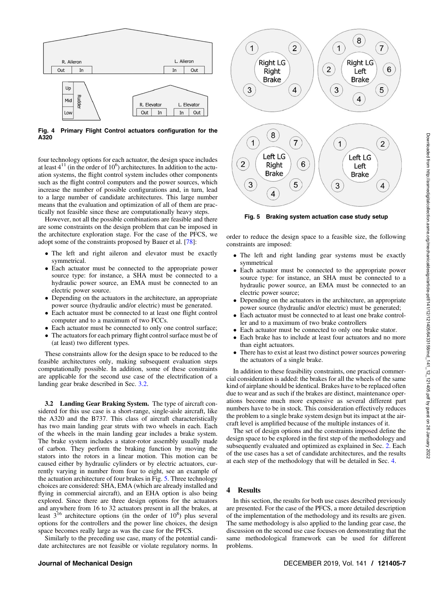

Fig. 4 Primary Flight Control actuators configuration for the A320

four technology options for each actuator, the design space includes at least  $4^{11}$  (in the order of  $10^6$ ) architectures. In addition to the actuation systems, the flight control system includes other components such as the flight control computers and the power sources, which increase the number of possible configurations and, in turn, lead to a large number of candidate architectures. This large number means that the evaluation and optimization of all of them are practically not feasible since these are computationally heavy steps.

However, not all the possible combinations are feasible and there are some constraints on the design problem that can be imposed in the architecture exploration stage. For the case of the PFCS, we adopt some of the constraints proposed by Bauer et al. [78]:

- The left and right aileron and elevator must be exactly symmetrical.
- Each actuator must be connected to the appropriate power source type: for instance, a SHA must be connected to a hydraulic power source, an EMA must be connected to an electric power source.
- Depending on the actuators in the architecture, an appropriate power source (hydraulic and/or electric) must be generated.
- Each actuator must be connected to at least one flight control computer and to a maximum of two FCCs.
- Each actuator must be connected to only one control surface;
- The actuators for each primary flight control surface must be of (at least) two different types.

These constraints allow for the design space to be reduced to the feasible architectures only, making subsequent evaluation steps computationally possible. In addition, some of these constraints are applicable for the second use case of the electrification of a landing gear brake described in Sec. 3.2.

3.2 Landing Gear Braking System. The type of aircraft considered for this use case is a short-range, single-aisle aircraft, like the A320 and the B737. This class of aircraft characteristically has two main landing gear struts with two wheels in each. Each of the wheels in the main landing gear includes a brake system. The brake system includes a stator-rotor assembly usually made of carbon. They perform the braking function by moving the stators into the rotors in a linear motion. This motion can be caused either by hydraulic cylinders or by electric actuators, currently varying in number from four to eight, see an example of the actuation architecture of four brakes in Fig. 5. Three technology choices are considered: SHA, EMA (which are already installed and flying in commercial aircraft), and an EHA option is also being explored. Since there are three design options for the actuators and anywhere from 16 to 32 actuators present in all the brakes, at least  $3^{16}$  architecture options (in the order of  $10^8$ ) plus several options for the controllers and the power line choices, the design space becomes really large as was the case for the PFCS.

Similarly to the preceding use case, many of the potential candidate architectures are not feasible or violate regulatory norms. In



Fig. 5 Braking system actuation case study setup

order to reduce the design space to a feasible size, the following constraints are imposed:

- The left and right landing gear systems must be exactly symmetrical
- Each actuator must be connected to the appropriate power source type: for instance, an SHA must be connected to a hydraulic power source, an EMA must be connected to an electric power source;
- Depending on the actuators in the architecture, an appropriate power source (hydraulic and/or electric) must be generated;
- Each actuator must be connected to at least one brake controller and to a maximum of two brake controllers
- Each actuator must be connected to only one brake stator.
- Each brake has to include at least four actuators and no more than eight actuators.
- There has to exist at least two distinct power sources powering the actuators of a single brake.

In addition to these feasibility constraints, one practical commercial consideration is added: the brakes for all the wheels of the same kind of airplane should be identical. Brakes have to be replaced often due to wear and as such if the brakes are distinct, maintenance operations become much more expensive as several different part numbers have to be in stock. This consideration effectively reduces the problem to a single brake system design but its impact at the aircraft level is amplified because of the multiple instances of it.

The set of design options and the constraints imposed define the design space to be explored in the first step of the methodology and subsequently evaluated and optimized as explained in Sec. 2. Each of the use cases has a set of candidate architectures, and the results at each step of the methodology that will be detailed in Sec. 4.

#### 4 Results

In this section, the results for both use cases described previously are presented. For the case of the PFCS, a more detailed description of the implementation of the methodology and its results are given. The same methodology is also applied to the landing gear case, the discussion on the second use case focuses on demonstrating that the same methodological framework can be used for different problems.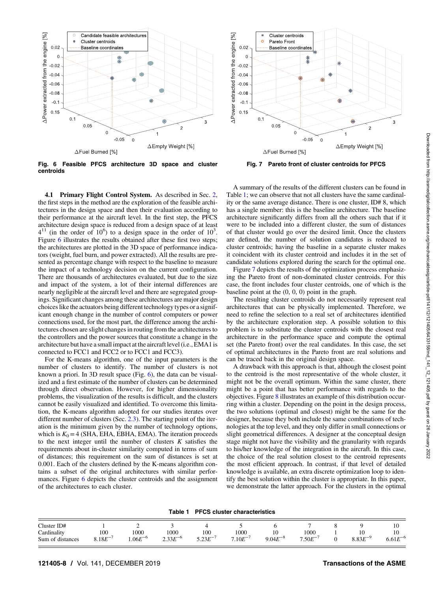

Fig. 6 Feasible PFCS architecture 3D space and cluster centroids

4.1 Primary Flight Control System. As described in Sec. 2, the first steps in the method are the exploration of the feasible architectures in the design space and then their evaluation according to their performance at the aircraft level. In the first step, the PFCS architecture design space is reduced from a design space of at least  $4^{11}$  (in the order of 10<sup>6</sup>) to a design space in the order of 10<sup>3</sup>. Figure 6 illustrates the results obtained after these first two steps; the architectures are plotted in the 3D space of performance indicators (weight, fuel burn, and power extracted). All the results are presented as percentage change with respect to the baseline to measure the impact of a technology decision on the current configuration. There are thousands of architectures evaluated, but due to the size and impact of the system, a lot of their internal differences are nearly negligible at the aircraft level and there are segregated groupings. Significant changes among these architectures are major design choices like the actuators being different technology types or a significant enough change in the number of control computers or power connections used, for the most part, the difference among the architectures chosen are slight changes in routing from the architectures to the controllers and the power sources that constitute a change in the architecture but have a small impact at the aircraft level (i.e., EMA1 is connected to FCC1 and FCC2 or to FCC1 and FCC3).

For the K-means algorithm, one of the input parameters is the number of clusters to identify. The number of clusters is not known a priori. In 3D result space (Fig. 6), the data can be visualized and a first estimate of the number of clusters can be determined through direct observation. However, for higher dimensionality problems, the visualization of the results is difficult, and the clusters cannot be easily visualized and identified. To overcome this limitation, the K-means algorithm adopted for our studies iterates over different number of clusters (Sec. 2.3). The starting point of the iteration is the minimum given by the number of technology options, which is  $K_0 = 4$  (SHA, EHA, EBHA, EMA). The iteration proceeds to the next integer until the number of clusters  $K$  satisfies the requirements about in-cluster similarity computed in terms of sum of distances; this requirement on the sum of distances is set at 0.001. Each of the clusters defined by the K-means algorithm contains a subset of the original architectures with similar performances. Figure 6 depicts the cluster centroids and the assignment of the architectures to each cluster.



Fig. 7 Pareto front of cluster centroids for PFCS

A summary of the results of the different clusters can be found in Table 1; we can observe that not all clusters have the same cardinality or the same average distance. There is one cluster, ID# 8, which has a single member: this is the baseline architecture. The baseline architecture significantly differs from all the others such that if it were to be included into a different cluster, the sum of distances of that cluster would go over the desired limit. Once the clusters are defined, the number of solution candidates is reduced to cluster centroids; having the baseline in a separate cluster makes it coincident with its cluster centroid and includes it in the set of candidate solutions explored during the search for the optimal one.

Figure 7 depicts the results of the optimization process emphasizing the Pareto front of non-dominated cluster centroids. For this case, the front includes four cluster centroids, one of which is the baseline point at the (0, 0, 0) point in the graph.

The resulting cluster centroids do not necessarily represent real architectures that can be physically implemented. Therefore, we need to refine the selection to a real set of architectures identified by the architecture exploration step. A possible solution to this problem is to substitute the cluster centroids with the closest real architecture in the performance space and compute the optimal set (the Pareto front) over the real candidates. In this case, the set of optimal architectures in the Pareto front are real solutions and can be traced back in the original design space.

A drawback with this approach is that, although the closest point to the centroid is the most representative of the whole cluster, it might not be the overall optimum. Within the same cluster, there might be a point that has better performance with regards to the objectives. Figure 8 illustrates an example of this distribution occurring within a cluster. Depending on the point in the design process, the two solutions (optimal and closest) might be the same for the designer, because they both include the same combinations of technologies at the top level, and they only differ in small connections or slight geometrical differences. A designer at the conceptual design stage might not have the visibility and the granularity with regards to his/her knowledge of the integration in the aircraft. In this case, the choice of the real solution closest to the centroid represents the most efficient approach. In contrast, if that level of detailed knowledge is available, an extra discrete optimization loop to identify the best solution within the cluster is appropriate. In this paper, we demonstrate the latter approach. For the clusters in the optimal

Table 1 PFCS cluster characteristics

| Cluster ID#                      |              |              |              |           |            |              |               |              | 1 U                |
|----------------------------------|--------------|--------------|--------------|-----------|------------|--------------|---------------|--------------|--------------------|
| Cardinality                      | 100          | 000          | 1000         | 100       | 1000       | 1 V          | 1000          | ΙU           | 1 U                |
| $\cdot$<br>Sum<br>n of distances | $3.18E^{-1}$ | $1.06E^{-c}$ | $2.33E^{-6}$ | $5.23E^-$ | $/10E^{-}$ | $9.04E^{-8}$ | $/0.50E^{-1}$ | $8.83E^{-5}$ | $T - 6$<br>0.0 I L |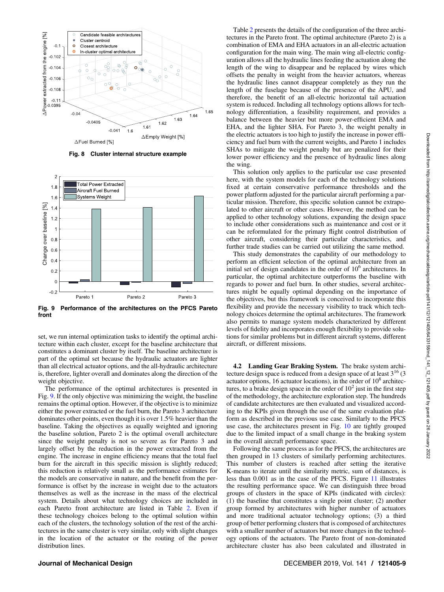

Fig. 8 Cluster internal structure example



Fig. 9 Performance of the architectures on the PFCS Pareto front

set, we run internal optimization tasks to identify the optimal architecture within each cluster, except for the baseline architecture that constitutes a dominant cluster by itself. The baseline architecture is part of the optimal set because the hydraulic actuators are lighter than all electrical actuator options, and the all-hydraulic architecture is, therefore, lighter overall and dominates along the direction of the weight objective.

The performance of the optimal architectures is presented in Fig. 9. If the only objective was minimizing the weight, the baseline remains the optimal option. However, if the objective is to minimize either the power extracted or the fuel burn, the Pareto 3 architecture dominates other points, even though it is over 1.5% heavier than the baseline. Taking the objectives as equally weighted and ignoring the baseline solution, Pareto 2 is the optimal overall architecture since the weight penalty is not so severe as for Pareto 3 and largely offset by the reduction in the power extracted from the engine. The increase in engine efficiency means that the total fuel burn for the aircraft in this specific mission is slightly reduced; this reduction is relatively small as the performance estimates for the models are conservative in nature, and the benefit from the performance is offset by the increase in weight due to the actuators themselves as well as the increase in the mass of the electrical system. Details about what technology choices are included in each Pareto front architecture are listed in Table 2. Even if these technology choices belong to the optimal solution within each of the clusters, the technology solution of the rest of the architectures in the same cluster is very similar, only with slight changes in the location of the actuator or the routing of the power distribution lines.

Table 2 presents the details of the configuration of the three architectures in the Pareto front. The optimal architecture (Pareto 2) is a combination of EMA and EHA actuators in an all-electric actuation configuration for the main wing. The main wing all-electric configuration allows all the hydraulic lines feeding the actuation along the length of the wing to disappear and be replaced by wires which offsets the penalty in weight from the heavier actuators, whereas the hydraulic lines cannot disappear completely as they run the length of the fuselage because of the presence of the APU, and therefore, the benefit of an all-electric horizontal tail actuation system is reduced. Including all technology options allows for technology differentiation, a feasibility requirement, and provides a balance between the heavier but more power-efficient EMA and EHA, and the lighter SHA. For Pareto 3, the weight penalty in the electric actuators is too high to justify the increase in power efficiency and fuel burn with the current weights, and Pareto 1 includes SHAs to mitigate the weight penalty but are penalized for their lower power efficiency and the presence of hydraulic lines along the wing.

This solution only applies to the particular use case presented here, with the system models for each of the technology solutions fixed at certain conservative performance thresholds and the power platform adjusted for the particular aircraft performing a particular mission. Therefore, this specific solution cannot be extrapolated to other aircraft or other cases. However, the method can be applied to other technology solutions, expanding the design space to include other considerations such as maintenance and cost or it can be reformulated for the primary flight control distribution of other aircraft, considering their particular characteristics, and further trade studies can be carried out utilizing the same method.

This study demonstrates the capability of our methodology to perform an efficient selection of the optimal architecture from an initial set of design candidates in the order of  $10<sup>o</sup>$  architectures. In particular, the optimal architecture outperforms the baseline with regards to power and fuel burn. In other studies, several architectures might be equally optimal depending on the importance of the objectives, but this framework is conceived to incorporate this flexibility and provide the necessary visibility to track which technology choices determine the optimal architectures. The framework also permits to manage system models characterized by different levels of fidelity and incorporates enough flexibility to provide solutions for similar problems but in different aircraft systems, different aircraft, or different missions.

4.2 Landing Gear Braking System. The brake system architecture design space is reduced from a design space of at least  $3^{16}$  (3) actuator options, 16 actuator locations), in the order of  $10^8$  architectures, to a brake design space in the order of  $10<sup>2</sup>$  just in the first step of the methodology, the architecture exploration step. The hundreds of candidate architectures are then evaluated and visualized according to the KPIs given through the use of the same evaluation platform as described in the previous use case. Similarly to the PFCS use case, the architectures present in Fig. 10 are tightly grouped due to the limited impact of a small change in the braking system in the overall aircraft performance space.

Following the same process as for the PFCS, the architectures are then grouped in 13 clusters of similarly performing architectures. This number of clusters is reached after setting the iterative K-means to iterate until the similarity metric, sum of distances, is less than 0.001 as in the case of the PFCS. Figure 11 illustrates the resulting performance space. We can distinguish three broad groups of clusters in the space of KPIs (indicated with circles): (1) the baseline that constitutes a single point cluster; (2) another group formed by architectures with higher number of actuators and more traditional actuator technology options; (3) a third group of better performing clusters that is composed of architectures with a smaller number of actuators but more changes in the technology options of the actuators. The Pareto front of non-dominated architecture cluster has also been calculated and illustrated in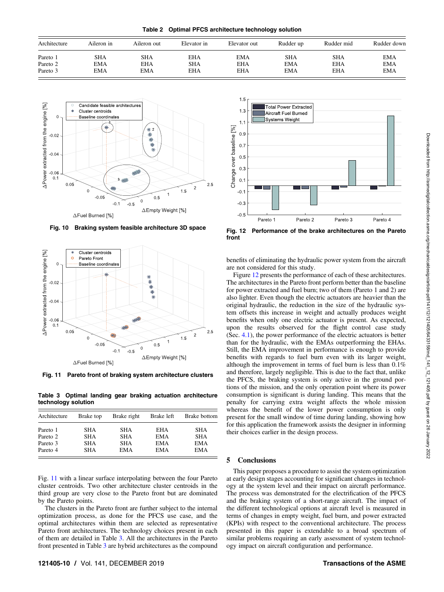Table 2 Optimal PFCS architecture technology solution

| Architecture | Aileron in | Aileron out | Elevator in | Elevator out | Rudder up  | Rudder mid | Rudder down |
|--------------|------------|-------------|-------------|--------------|------------|------------|-------------|
| Pareto 1     | SHA        | <b>SHA</b>  | EHA         | EMA          | SHA        | <b>SHA</b> | <b>EMA</b>  |
| Pareto 2     | <b>EMA</b> | EHA         | SHA         | EHA          | <b>EMA</b> | <b>EHA</b> | <b>EMA</b>  |
| Pareto 3     | <b>EMA</b> | <b>EMA</b>  | EHA         | EHA          | <b>EMA</b> | <b>EHA</b> | <b>EMA</b>  |



Fig. 10 Braking system feasible architecture 3D space



Fig. 11 Pareto front of braking system architecture clusters

Table 3 Optimal landing gear braking actuation architecture technology solution

| Brake top         | Brake right                            | Brake left                      | Brake bottom                           |
|-------------------|----------------------------------------|---------------------------------|----------------------------------------|
| SHA<br>SHA<br>SHA | <b>SHA</b><br><b>SHA</b><br><b>SHA</b> | EHA<br><b>EMA</b><br><b>EMA</b> | <b>SHA</b><br><b>SHA</b><br>EMA<br>EMA |
|                   | <b>SHA</b>                             | EMA                             | <b>EMA</b>                             |

Fig. 11 with a linear surface interpolating between the four Pareto cluster centroids. Two other architecture cluster centroids in the third group are very close to the Pareto front but are dominated by the Pareto points.

The clusters in the Pareto front are further subject to the internal optimization process, as done for the PFCS use case, and the optimal architectures within them are selected as representative Pareto front architectures. The technology choices present in each of them are detailed in Table 3. All the architectures in the Pareto front presented in Table 3 are hybrid architectures as the compound



Fig. 12 Performance of the brake architectures on the Pareto front

benefits of eliminating the hydraulic power system from the aircraft are not considered for this study.

Figure 12 presents the performance of each of these architectures. The architectures in the Pareto front perform better than the baseline for power extracted and fuel burn; two of them (Pareto 1 and 2) are also lighter. Even though the electric actuators are heavier than the original hydraulic, the reduction in the size of the hydraulic system offsets this increase in weight and actually produces weight benefits when only one electric actuator is present. As expected, upon the results observed for the flight control case study (Sec. 4.1), the power performance of the electric actuators is better than for the hydraulic, with the EMAs outperforming the EHAs. Still, the EMA improvement in performance is enough to provide benefits with regards to fuel burn even with its larger weight, although the improvement in terms of fuel burn is less than 0.1% and therefore, largely negligible. This is due to the fact that, unlike the PFCS, the braking system is only active in the ground portions of the mission, and the only operation point where its power consumption is significant is during landing. This means that the penalty for carrying extra weight affects the whole mission whereas the benefit of the lower power consumption is only present for the small window of time during landing, showing how for this application the framework assists the designer in informing their choices earlier in the design process.

#### 5 Conclusions

This paper proposes a procedure to assist the system optimization at early design stages accounting for significant changes in technology at the system level and their impact on aircraft performance. The process was demonstrated for the electrification of the PFCS and the braking system of a short-range aircraft. The impact of the different technological options at aircraft level is measured in terms of changes in empty weight, fuel burn, and power extracted (KPIs) with respect to the conventional architecture. The process presented in this paper is extendable to a broad spectrum of similar problems requiring an early assessment of system technology impact on aircraft configuration and performance.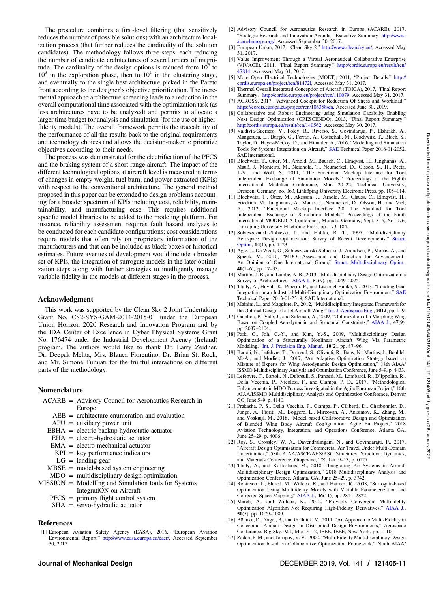The procedure combines a first-level filtering (that sensitively reduces the number of possible solutions) with an architecture localization process (that further reduces the cardinality of the solution candidates). The methodology follows three steps, each reducing the number of candidate architectures of several orders of magnitude. The cardinality of the design options is reduced from  $10<sup>6</sup>$  to  $10<sup>3</sup>$  in the exploration phase, then to  $10<sup>1</sup>$  in the clustering stage, and eventually to the single best architecture picked in the Pareto front according to the designer's objective prioritization. The incremental approach to architecture screening leads to a reduction in the overall computational time associated with the optimization task (as less architectures have to be analyzed) and permits to allocate a larger time budget for analysis and simulation (for the use of higherfidelity models). The overall framework permits the traceability of the performance of all the results back to the original requirements and technology choices and allows the decision-maker to prioritize objectives according to their needs.

The process was demonstrated for the electrification of the PFCS and the braking system of a short-range aircraft. The impact of the different technological options at aircraft level is measured in terms of changes in empty weight, fuel burn, and power extracted (KPIs) with respect to the conventional architecture. The general method proposed in this paper can be extended to design problems accounting for a broader spectrum of KPIs including cost, reliability, maintainability, and manufacturing ease. This requires additional specific model libraries to be added to the modeling platform. For instance, reliability assessment requires fault hazard analyses to be conducted for each candidate configurations; cost considerations require models that often rely on proprietary information of the manufacturers and that can be included as black boxes or historical estimates. Future avenues of development would include a broader set of KPIs, the integration of surrogate models in the later optimization steps along with further strategies to intelligently manage variable fidelity in the models at different stages in the process.

#### Acknowledgment

This work was supported by the Clean Sky 2 Joint Undertaking Grant No. CS2-SYS-GAM-2014-2015-01 under the European Union Horizon 2020 Research and Innovation Program and by the IDA Center of Excellence in Cyber Physical Systems Grant No. 176474 under the Industrial Development Agency (Ireland) program. The authors would like to thank Dr. Larry Zeidner, Dr. Deepak Mehta, Mrs. Blanca Florentino, Dr. Brian St. Rock, and Mr. Simone Tumiati for the fruitful interactions on different parts of the methodology.

#### Nomenclature

- ACARE = Advisory Council for Aeronautics Research in Europe
	- AEE = architecture enumeration and evaluation
	- $APU =$  auxiliary power unit
	- $EBHA = electric$  backup hydrostatic actuator
	- $EHA$  = electro-hydrostatic actuator
	- EMA = electro-mechanical actuator
	- $KPI = \text{key performance indicators}$
	- $LG =$  landing gear
	- MBSE = model-based system engineering
	- MDO = multidisciplinary design optimization
- $MISSION = Modelling and Simulation tools for Systems$ IntegratiON on Aircraft
	- PFCS = primary flight control system
	- SHA = servo-hydraulic actuator

#### References

[1] European Aviation Safety Agency (EASA), 2016, "European Aviation Environmental Report," <http://www.easa.europa.eu/eaer/>, Accessed September 30, 2017.

- [2] Advisory Council for Aeronautics Research in Europe (ACARE), 2017, "Strategic Research and Innovation Agenda," Executive Summary. [http://www.](http://www.acare4europe.org/) [acare4europe.org/](http://www.acare4europe.org/), Accessed September 30, 2017.
- [3] European Union, 2017, "Clean Sky 2," [http://www.cleansky.eu/,](http://www.cleansky.eu/) Accessed May 31, 2017.
- [4] Value Improvement Through a Virtual Aeronautical Collaborative Enterprise (VIVACE), 2011, "Final Report Summary." [http://cordis.europa.eu/result/rcn/](http://cordis.europa.eu/result/rcn/47814) [47814,](http://cordis.europa.eu/result/rcn/47814) Accessed May 31, 2017.
- [5] More Open Electrical Technologies (MOET), 2011, "Project Details." [http://](http://cordis.europa.eu/project/rcn/81472l) [cordis.europa.eu/project/rcn/81472l](http://cordis.europa.eu/project/rcn/81472l), Accessed May 31, 2017.
- [6] Thermal Overall Integrated Conception of Aircraft (TOICA), 2017, "Final Report Summary." [http://cordis.europa.eu/project/rcn/110079,](http://cordis.europa.eu/project/rcn/110079) Accessed May 31, 2017. [7] ACROSS, 2017, "Advanced Cockpit for Reduction Of Stress and Workload."
- [https://cordis.europa.eu/project/rcn/106358/en,](https://cordis.europa.eu/project/rcn/106358/en) Accessed June 30, 2019. [8] Collaborative and Robust Engineering using Simulation Capability Enabling
- Next Design Optimisation (CRESCENDO), 2013, "Final Report Summary," [http://cordis.europa.eu/result/rcn/140562,](http://cordis.europa.eu/result/rcn/140562) Accessed May 30, 2017.
- [9] Valdivia-Guerrero, V., Foley, R., Riverso, S., Govindaraju, P., Elsheikh, A., Mangeruca, L., Burgio, G., Ferrari, A., Gottschall, M., Blochwitz, T., Bloch, S., Taylor, D., Hayes-McCoy, D., and Himmler, A., 2016, "Modelling and Simulation Tools for Systems Integration on Aircraft," [SAE](http://dx.doi.org/10.4271/2016-01-2052) Technical Paper 2016-01-2052, SAE International.
- [10] Blochwitz, T., Otter, M., Arnold, M., Bausch, C., Elmqvist, H., Junghanns, A., Mauß, J., Monteiro, M., Neidhold, T., Neumerkel, D., Olsson, S., H., Peetz, J.-V., and Wolf, S., 2011, "The Functional Mockup Interface for Tool Independent Exchange of Simulation Models," Proceedings of the Eighth International Modelica Conference, Mar. 20–22; Technical University, Dresden, Germany, no. 063, Linköping University Electronic Press, pp. 105–114.
- [11] Blochwitz, T., Otter, M., Akesson, J., Arnold, M., Clauss, C., Elmqvist, H., Friedrich, M., Junghanns, A., Mauss, J., Neumerkel, D., Olsson, H., and Viel, A., 2012, "Functional Mockup Interface 2.0: The Standard for Tool Independent Exchange of Simulation Models," Proceedings of the Ninth International MODELICA Conference, Munich, Germany, Sept. 3–5, No. 076, Linköping University Electronic Press, pp. 173–184.
- [12] Sobieszczanski-Sobieski, J., and Haftka, R. T., 1997, "Multidisciplinary Aerospace Design Optimization: Survey of Recent Developments," [Struct.](http://dx.doi.org/10.1007/BF01197554) [Optim.,](http://dx.doi.org/10.1007/BF01197554) 14(1), pp. 1–23.
- [13] Agte, J., De Weck, O., Sobieszczanski-Sobieski, J., Arendsen, P., Morris, A., and Spieck, M., 2010, "MDO: Assessment and Direction for Advancement– An Opinion of One International Group," [Struct. Multidisciplinary Optim.](http://dx.doi.org/10.1007/s00158-009-0381-5),  $40(1-6)$ , pp.  $17-33$ .
- [14] Martins, J. R., and Lambe, A. B., 2013, "Multidisciplinary Design Optimization: a Survey of Architectures," [AIAA J.,](http://dx.doi.org/10.2514/1.J051895) 51(9), pp. 2049–2075.
- [15] Tfaily, A., Huynh, K., Piperni, P., and Liscouet-Hanke, S., 2013, "Landing Gear Integration in an Industrial Multi-Disciplinary Optimization Environment," [SAE](http://dx.doi.org/10.4271/2013-01-2319) Technical Paper 2013-01-2319, SAE International.
- [16] Mainini, L., and Maggiore, P., 2012, "Multidisciplinary Integrated Framework for the Optimal Design of a Jet Aircraft Wing," [Int. J. Aerospace Eng.,](https://dx.doi.org/10.1155/2012/750642) 2012, pp. 1–9.
- [17] Gamboa, P., Vale, J., and Suleman, A., 2009, "Optimization of a Morphing Wing Based on Coupled Aerodynamic and Structural Constraints," [AIAA J.,](http://dx.doi.org/10.2514/1.39016) 47(9), pp. 2087–2104.
- [18] Park, C., Joh, C.-Y., and Kim, Y.-S., 2009, "Multidisciplinary Design Optimization of a Structurally Nonlinear Aircraft Wing Via Parametric Modeling," [Int. J. Precision Eng. Manuf.](http://dx.doi.org/10.1007/s12541-009-0032-1), 10(2), pp. 87–96.
- [19] Bartoli, N., Lefebvre, T., Dubreuil, S., Olivanti, R., Bons, N., Martins, J., Bouhlel, M.-A., and Morlier, J., 2017, "An Adaptive Optimization Strategy based on Mixture of Experts for Wing Aerodynamic Design Optimization," 18th AIAA/ ISSMO Multidisciplinary Analysis and Optimization Conference, June 5–9, p. 4433.
- [20] Lefebvre, T., Bartoli, N., Dubreuil, S., Panzeri, M., Lombardi, R., D'Ippolito, R., Della Vecchia, P., Nicolosi, F., and Ciampa, P. D., 2017, "Methodological Enhancements in MDO Process Investigated in the Agile European Project," 18th AIAA/ISSMO Multidisciplinary Analysis and Optimization Conference, Denver CO, June 5–9, p. 4140.
- [21] Prakasha, P. S., Della Vecchia, P., Ciampa, P., Ciliberti, D., Charbonnier, D., Jungo, A., Fioriti, M., Boggero, L., Mirzoyan, A., Anisimov, K., Zhang, M., and Voskuijl, M., 2018, "Model based Collaborative Design and Optimization of Blended Wing Body Aircraft Configuration: Agile Eu Project," 2018 Aviation Technology, Integration, and Operations Conference, Atlanta GA, June 25–29, p. 4006.
- [22] Roy, S., Crossley, W. A., Davendralingam, N., and Govindaraju, P., 2017, "Aircraft Design Optimization for Commercial Air Travel Under Multi-Domain Uncertainties," 58th AIAA/ASCE/AHS/ASC Structures, Structural Dynamics, and Materials Conference, Grapevine, TX, Jan. 9–13, p. 0127.
- [23] Tfaily, A., and Kokkolaras, M., 2018, "Integrating Air Systems in Aircraft Multidisciplinary Design Optimization," 2018 Multidisciplinary Analysis and
- Optimization Conference, Atlanta, GA, June 25–29, p. 3742. [24] Robinson, T., Eldred, M., Willcox, K., and Haimes, R., 2008, "Surrogate-based Optimization Using Multifidelity Models with Variable Parameterization and Corrected Space Mapping," [AIAA J.](http://dx.doi.org/10.2514/1.36043), 46(11), pp. 2814–2822.
- [25] March, A., and Willcox, K., 2012, "Provably Convergent Multifidelity Optimization Algorithm Not Requiring High-Fidelity Derivatives," [AIAA J.](http://dx.doi.org/10.2514/1.J051125), 50(5), pp. 1079–1089.
- [26] Böhnke, D., Nagel, B., and Gollnick, V., 2011, "An Approach to Multi-Fidelity in Conceptual Aircraft Design in Distributed Design Environments," Aerospace Conference, Big Sky, MT, Mar. 5–12, IEEE, IEEE, New York, pp. 1–10.
- [27] Zadeh, P. M., and Toropov, V. V., 2002, "Multi-Fidelity Multidisciplinary Design Optimization based on Collaborative Optimization Framework," Ninth AIAA/